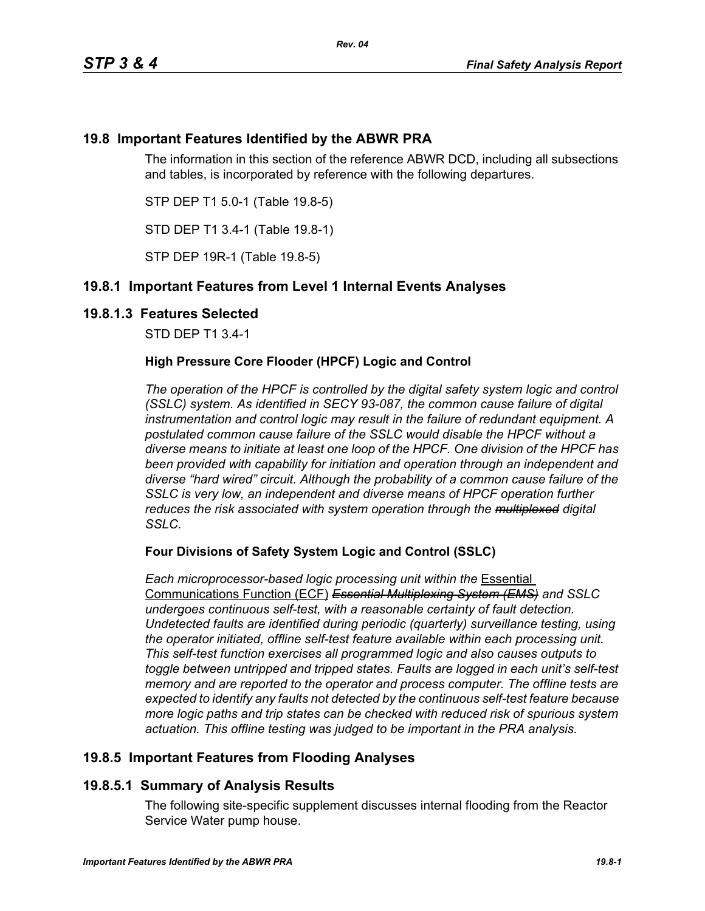# **19.8 Important Features Identified by the ABWR PRA**

The information in this section of the reference ABWR DCD, including all subsections and tables, is incorporated by reference with the following departures.

STP DEP T1 5.0-1 (Table 19.8-5)

STD DEP T1 3.4-1 (Table 19.8-1)

STP DEP 19R-1 (Table 19.8-5)

# **19.8.1 Important Features from Level 1 Internal Events Analyses**

### **19.8.1.3 Features Selected**

STD DEP T1 3.4-1

### **High Pressure Core Flooder (HPCF) Logic and Control**

*The operation of the HPCF is controlled by the digital safety system logic and control (SSLC) system. As identified in SECY 93-087, the common cause failure of digital instrumentation and control logic may result in the failure of redundant equipment. A postulated common cause failure of the SSLC would disable the HPCF without a diverse means to initiate at least one loop of the HPCF. One division of the HPCF has been provided with capability for initiation and operation through an independent and diverse "hard wired" circuit. Although the probability of a common cause failure of the SSLC is very low, an independent and diverse means of HPCF operation further reduces the risk associated with system operation through the multiplexed digital SSLC.*

### **Four Divisions of Safety System Logic and Control (SSLC)**

*Each microprocessor-based logic processing unit within the* Essential Communications Function (ECF) *Essential Multiplexing System (EMS) and SSLC undergoes continuous self-test, with a reasonable certainty of fault detection. Undetected faults are identified during periodic (quarterly) surveillance testing, using the operator initiated, offline self-test feature available within each processing unit. This self-test function exercises all programmed logic and also causes outputs to toggle between untripped and tripped states. Faults are logged in each unit's self-test memory and are reported to the operator and process computer. The offline tests are expected to identify any faults not detected by the continuous self-test feature because more logic paths and trip states can be checked with reduced risk of spurious system actuation. This offline testing was judged to be important in the PRA analysis.*

# **19.8.5 Important Features from Flooding Analyses**

# **19.8.5.1 Summary of Analysis Results**

The following site-specific supplement discusses internal flooding from the Reactor Service Water pump house.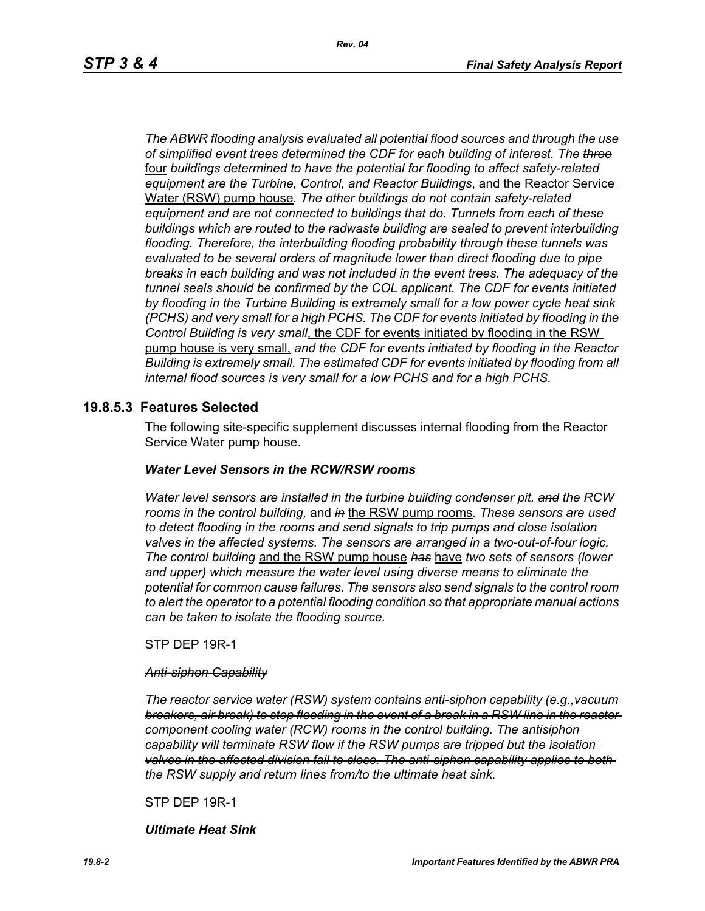*The ABWR flooding analysis evaluated all potential flood sources and through the use of simplified event trees determined the CDF for each building of interest. The three* four *buildings determined to have the potential for flooding to affect safety-related equipment are the Turbine, Control, and Reactor Buildings*, and the Reactor Service Water (RSW) pump house*. The other buildings do not contain safety-related equipment and are not connected to buildings that do. Tunnels from each of these buildings which are routed to the radwaste building are sealed to prevent interbuilding flooding. Therefore, the interbuilding flooding probability through these tunnels was evaluated to be several orders of magnitude lower than direct flooding due to pipe breaks in each building and was not included in the event trees. The adequacy of the tunnel seals should be confirmed by the COL applicant. The CDF for events initiated by flooding in the Turbine Building is extremely small for a low power cycle heat sink (PCHS) and very small for a high PCHS. The CDF for events initiated by flooding in the Control Building is very small*, the CDF for events initiated by flooding in the RSW pump house is very small, *and the CDF for events initiated by flooding in the Reactor Building is extremely small. The estimated CDF for events initiated by flooding from all internal flood sources is very small for a low PCHS and for a high PCHS.*

### **19.8.5.3 Features Selected**

The following site-specific supplement discusses internal flooding from the Reactor Service Water pump house.

#### *Water Level Sensors in the RCW/RSW rooms*

*Water level sensors are installed in the turbine building condenser pit, and the RCW rooms in the control building,* and *in* the RSW pump rooms*. These sensors are used to detect flooding in the rooms and send signals to trip pumps and close isolation valves in the affected systems. The sensors are arranged in a two-out-of-four logic. The control building* and the RSW pump house *has* have *two sets of sensors (lower and upper) which measure the water level using diverse means to eliminate the potential for common cause failures. The sensors also send signals to the control room to alert the operator to a potential flooding condition so that appropriate manual actions can be taken to isolate the flooding source.*

STP DEP 19R-1

#### *Anti-siphon Capability*

*The reactor service water (RSW) system contains anti-siphon capability (e.g.,vacuum breakers, air break) to stop flooding in the event of a break in a RSW line in the reactor component cooling water (RCW) rooms in the control building. The antisiphon capability will terminate RSW flow if the RSW pumps are tripped but the isolation valves in the affected division fail to close. The anti-siphon capability applies to both the RSW supply and return lines from/to the ultimate heat sink.*

STP DEP 19R-1

*Ultimate Heat Sink*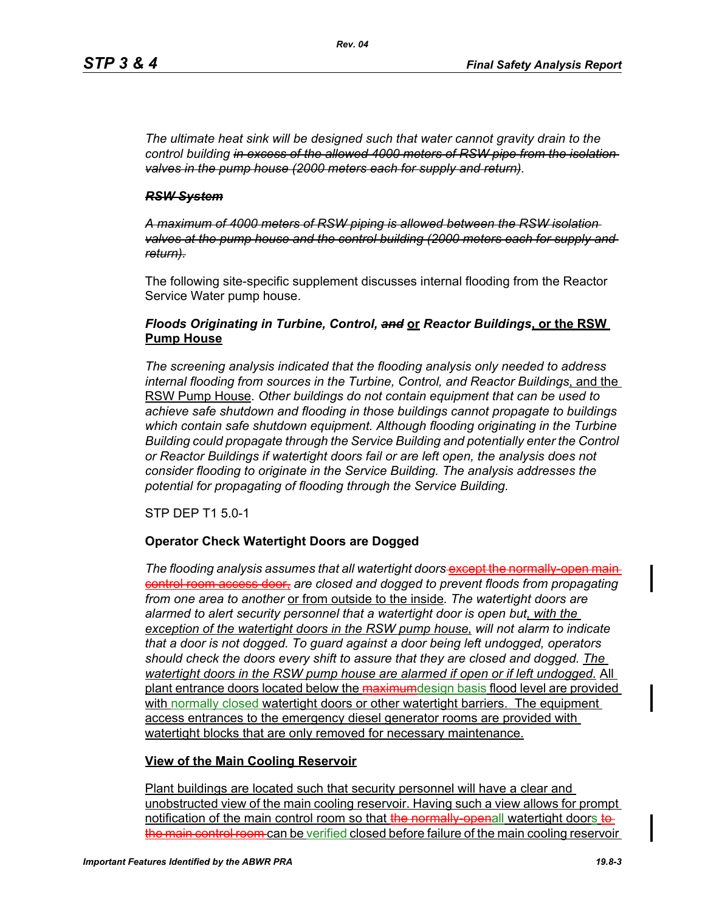*The ultimate heat sink will be designed such that water cannot gravity drain to the control building in excess of the allowed 4000 meters of RSW pipe from the isolation valves in the pump house (2000 meters each for supply and return).*

#### *RSW System*

*A maximum of 4000 meters of RSW piping is allowed between the RSW isolation valves at the pump house and the control building (2000 meters each for supply and return).*

The following site-specific supplement discusses internal flooding from the Reactor Service Water pump house.

### *Floods Originating in Turbine, Control, and* **or** *Reactor Buildings***, or the RSW Pump House**

*The screening analysis indicated that the flooding analysis only needed to address internal flooding from sources in the Turbine, Control, and Reactor Buildings*, and the RSW Pump House. *Other buildings do not contain equipment that can be used to achieve safe shutdown and flooding in those buildings cannot propagate to buildings which contain safe shutdown equipment. Although flooding originating in the Turbine Building could propagate through the Service Building and potentially enter the Control or Reactor Buildings if watertight doors fail or are left open, the analysis does not consider flooding to originate in the Service Building. The analysis addresses the potential for propagating of flooding through the Service Building.*

STP DEP T1 5.0-1

### **Operator Check Watertight Doors are Dogged**

The flooding analysis assumes that all watertight doors-except the normally-open maincontrol room access door, *are closed and dogged to prevent floods from propagating from one area to another* or from outside to the inside*. The watertight doors are alarmed to alert security personnel that a watertight door is open but, with the exception of the watertight doors in the RSW pump house, will not alarm to indicate that a door is not dogged. To guard against a door being left undogged, operators should check the doors every shift to assure that they are closed and dogged. The watertight doors in the RSW pump house are alarmed if open or if left undogged.* All plant entrance doors located below the maximumdesign basis flood level are provided with normally closed watertight doors or other watertight barriers. The equipment access entrances to the emergency diesel generator rooms are provided with watertight blocks that are only removed for necessary maintenance.

### **View of the Main Cooling Reservoir**

Plant buildings are located such that security personnel will have a clear and unobstructed view of the main cooling reservoir. Having such a view allows for prompt notification of the main control room so that the normally-openall watertight doors to the main control room can be verified closed before failure of the main cooling reservoir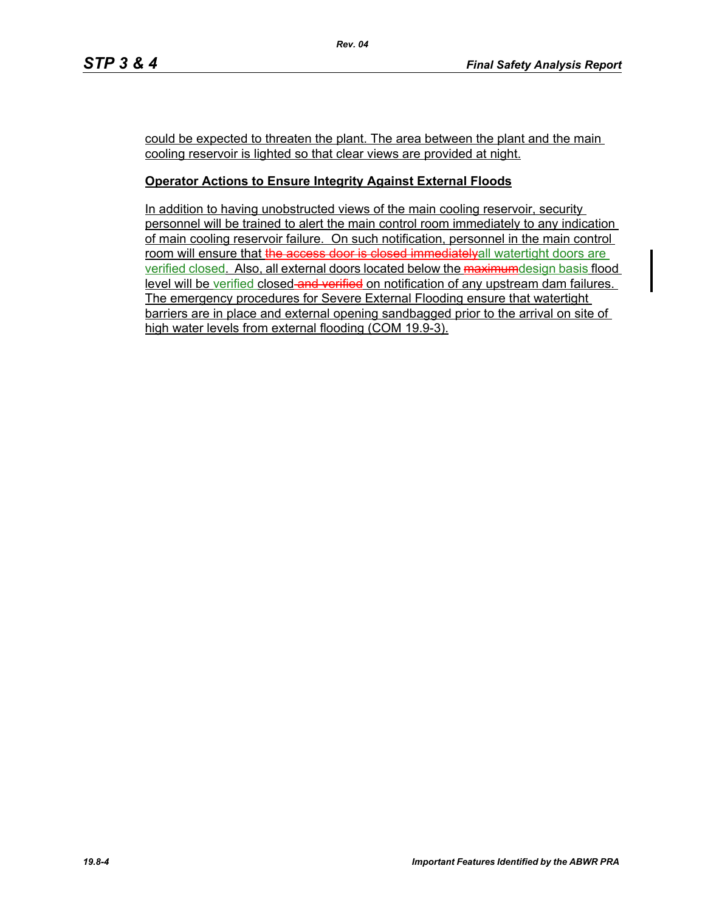could be expected to threaten the plant. The area between the plant and the main cooling reservoir is lighted so that clear views are provided at night.

### **Operator Actions to Ensure Integrity Against External Floods**

In addition to having unobstructed views of the main cooling reservoir, security personnel will be trained to alert the main control room immediately to any indication of main cooling reservoir failure. On such notification, personnel in the main control room will ensure that the access door is closed immediatelyall watertight doors are verified closed. Also, all external doors located below the maximumdesign basis flood level will be verified closed and verified on notification of any upstream dam failures. The emergency procedures for Severe External Flooding ensure that watertight barriers are in place and external opening sandbagged prior to the arrival on site of high water levels from external flooding (COM 19.9-3).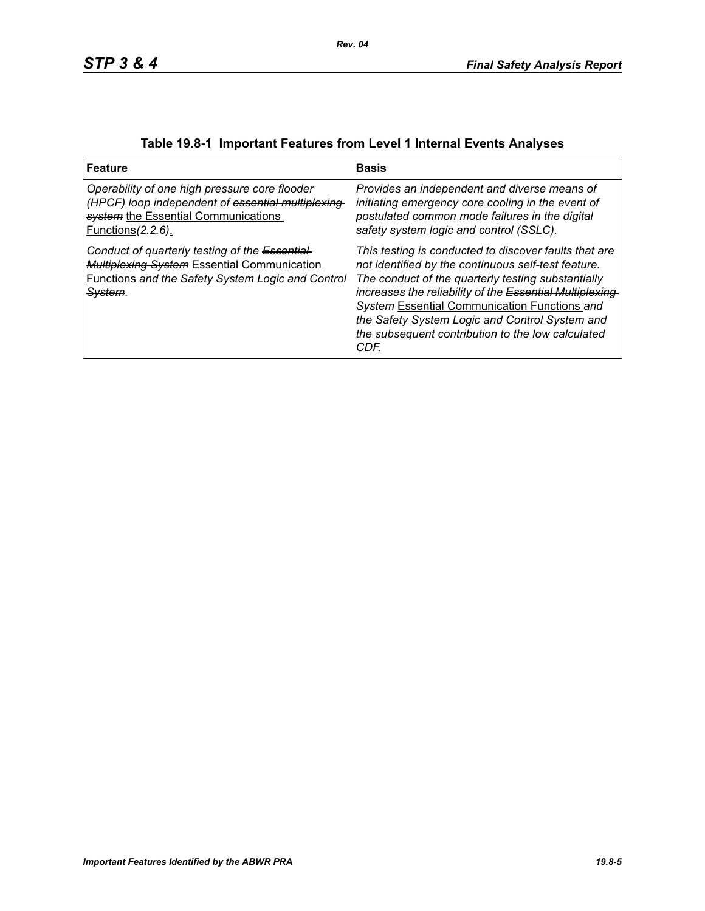| <b>Feature</b>                                                                                                                                                              | <b>Basis</b>                                                                                                                                                                                                                                                                                                                                                                                         |
|-----------------------------------------------------------------------------------------------------------------------------------------------------------------------------|------------------------------------------------------------------------------------------------------------------------------------------------------------------------------------------------------------------------------------------------------------------------------------------------------------------------------------------------------------------------------------------------------|
| Operability of one high pressure core flooder<br>(HPCF) loop independent of essential multiplexing<br>system the Essential Communications<br><u>Functions (2.2.6).</u>      | Provides an independent and diverse means of<br>initiating emergency core cooling in the event of<br>postulated common mode failures in the digital<br>safety system logic and control (SSLC).                                                                                                                                                                                                       |
| Conduct of quarterly testing of the Essential-<br><b>Multiplexing System Essential Communication</b><br><b>Functions and the Safety System Logic and Control</b><br>System. | This testing is conducted to discover faults that are<br>not identified by the continuous self-test feature.<br>The conduct of the quarterly testing substantially<br>increases the reliability of the Essential Multiplexing-<br><b>System Essential Communication Functions and</b><br>the Safety System Logic and Control System and<br>the subsequent contribution to the low calculated<br>CDF. |

|  |  | Table 19.8-1 Important Features from Level 1 Internal Events Analyses |  |
|--|--|-----------------------------------------------------------------------|--|
|--|--|-----------------------------------------------------------------------|--|